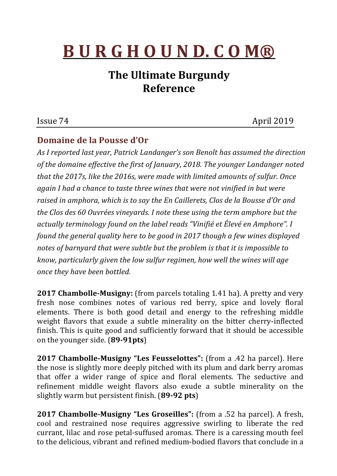## **B U R G H O U N D. C O M®**

## **The Ultimate Burgundy Reference**

## Issue 74 April 2019

## **Domaine de la Pousse d'Or**

As I reported last year, Patrick Landanger's son Benoît has assumed the direction of the domaine effective the first of January, 2018. The younger Landanger noted *that the 2017s, like the 2016s, were made with limited amounts of sulfur. Once again I had a chance to taste three wines that were not vinified in but were* raised in amphora, which is to say the En Caillerets, Clos de la Bousse d'Or and *the Clos des* 60 *Ouvrées vineyards. I note these using the term amphore but the actually terminology found on the label reads* "Vinifié et Élevé en Amphore". I *found the general quality here to be good in 2017 though a few wines displayed* notes of barnyard that were subtle but the problem is that it is impossible to *know, particularly given the low sulfur regimen, how well the wines will age once they have been bottled.*

**2017 Chambolle-Musigny:** (from parcels totaling 1.41 ha). A pretty and very fresh nose combines notes of various red berry, spice and lovely floral elements. There is both good detail and energy to the refreshing middle weight flavors that exude a subtle minerality on the bitter cherry-inflected finish. This is quite good and sufficiently forward that it should be accessible on the younger side. (**89-91pts**)

**2017 Chambolle-Musigny "Les Feusselottes":** (from a .42 ha parcel). Here the nose is slightly more deeply pitched with its plum and dark berry aromas that offer a wider range of spice and floral elements. The seductive and refinement middle weight flavors also exude a subtle minerality on the slightly warm but persistent finish. (89-92 pts)

**2017 Chambolle-Musigny "Les Groseilles":** (from a .52 ha parcel). A fresh, cool and restrained nose requires aggressive swirling to liberate the red currant, lilac and rose petal-suffused aromas. There is a caressing mouth feel to the delicious, vibrant and refined medium-bodied flavors that conclude in a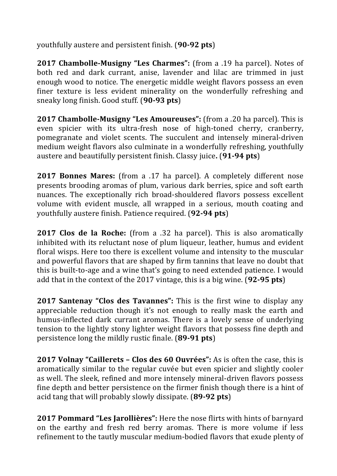youthfully austere and persistent finish. (**90-92 pts**)

**2017 Chambolle-Musigny "Les Charmes":** (from a .19 ha parcel). Notes of both red and dark currant, anise, lavender and lilac are trimmed in just enough wood to notice. The energetic middle weight flavors possess an even finer texture is less evident minerality on the wonderfully refreshing and sneaky long finish. Good stuff. (**90-93 pts**)

**2017 Chambolle-Musigny "Les Amoureuses":** (from a .20 ha parcel). This is even spicier with its ultra-fresh nose of high-toned cherry, cranberry, pomegranate and violet scents. The succulent and intensely mineral-driven medium weight flavors also culminate in a wonderfully refreshing, youthfully austere and beautifully persistent finish. Classy juice. **(91-94 pts)** 

**2017 Bonnes Mares:** (from a .17 ha parcel). A completely different nose presents brooding aromas of plum, various dark berries, spice and soft earth nuances. The exceptionally rich broad-shouldered flavors possess excellent volume with evident muscle, all wrapped in a serious, mouth coating and youthfully austere finish. Patience required. (**92-94 pts**)

**2017 Clos de la Roche:** (from a .32 ha parcel). This is also aromatically inhibited with its reluctant nose of plum liqueur, leather, humus and evident floral wisps. Here too there is excellent volume and intensity to the muscular and powerful flavors that are shaped by firm tannins that leave no doubt that this is built-to-age and a wine that's going to need extended patience. I would add that in the context of the 2017 vintage, this is a big wine. (92-95 pts)

**2017 Santenay "Clos des Tavannes":** This is the first wine to display any appreciable reduction though it's not enough to really mask the earth and humus-inflected dark currant aromas. There is a lovely sense of underlying tension to the lightly stony lighter weight flavors that possess fine depth and persistence long the mildly rustic finale. (**89-91 pts**)

**2017 Volnay "Caillerets – Clos des 60 Ouvrées":** As is often the case, this is aromatically similar to the regular cuvée but even spicier and slightly cooler as well. The sleek, refined and more intensely mineral-driven flavors possess fine depth and better persistence on the firmer finish though there is a hint of acid tang that will probably slowly dissipate. (89-92 pts)

**2017 Pommard "Les Jarollières":** Here the nose flirts with hints of barnyard on the earthy and fresh red berry aromas. There is more volume if less refinement to the tautly muscular medium-bodied flavors that exude plenty of